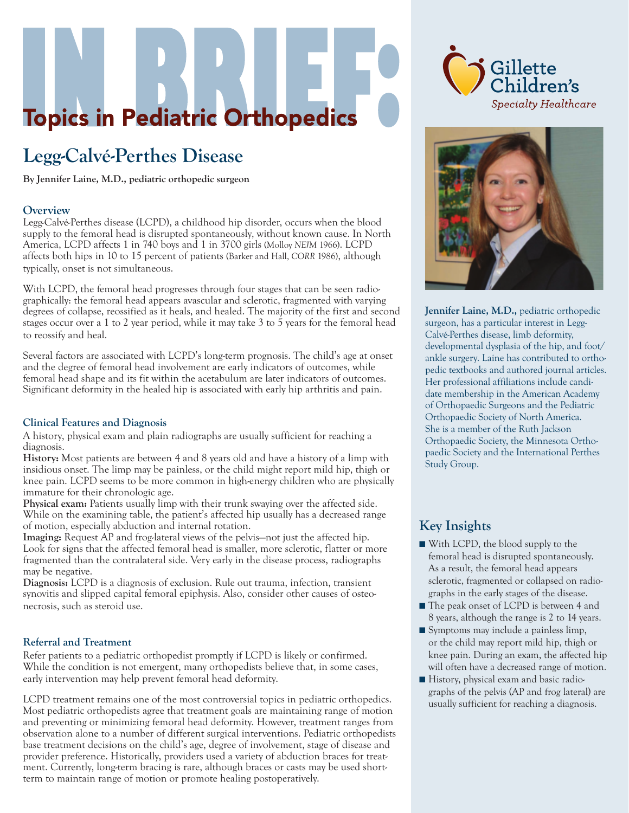# **Topics in Pediatric Orthopedics**

# **Legg-Calvé-Perthes Disease**

**By Jennifer Laine, M.D., pediatric orthopedic surgeon**

#### **Overview**

Legg-Calvé-Perthes disease (LCPD), a childhood hip disorder, occurs when the blood supply to the femoral head is disrupted spontaneously, without known cause. In North America, LCPD affects 1 in 740 boys and 1 in 3700 girls (Molloy *NEJM* 1966). LCPD affects both hips in 10 to 15 percent of patients (Barker and Hall, *CORR* 1986), although typically, onset is not simultaneous.

With LCPD, the femoral head progresses through four stages that can be seen radiographically: the femoral head appears avascular and sclerotic, fragmented with varying degrees of collapse, reossified as it heals, and healed. The majority of the first and second stages occur over a 1 to 2 year period, while it may take 3 to 5 years for the femoral head to reossify and heal.

Several factors are associated with LCPD's long-term prognosis. The child's age at onset and the degree of femoral head involvement are early indicators of outcomes, while femoral head shape and its fit within the acetabulum are later indicators of outcomes. Significant deformity in the healed hip is associated with early hip arthritis and pain.

#### **Clinical Features and Diagnosis**

A history, physical exam and plain radiographs are usually sufficient for reaching a diagnosis.

**History:** Most patients are between 4 and 8 years old and have a history of a limp with insidious onset. The limp may be painless, or the child might report mild hip, thigh or knee pain. LCPD seems to be more common in high-energy children who are physically immature for their chronologic age.

**Physical exam:** Patients usually limp with their trunk swaying over the affected side. While on the examining table, the patient's affected hip usually has a decreased range of motion, especially abduction and internal rotation.

**Imaging:** Request AP and frog-lateral views of the pelvis—not just the affected hip. Look for signs that the affected femoral head is smaller, more sclerotic, flatter or more fragmented than the contralateral side. Very early in the disease process, radiographs may be negative.

**Diagnosis:** LCPD is a diagnosis of exclusion. Rule out trauma, infection, transient synovitis and slipped capital femoral epiphysis. Also, consider other causes of osteonecrosis, such as steroid use.

#### **Referral and Treatment**

Refer patients to a pediatric orthopedist promptly if LCPD is likely or confirmed. While the condition is not emergent, many orthopedists believe that, in some cases, early intervention may help prevent femoral head deformity.

LCPD treatment remains one of the most controversial topics in pediatric orthopedics. Most pediatric orthopedists agree that treatment goals are maintaining range of motion and preventing or minimizing femoral head deformity. However, treatment ranges from observation alone to a number of different surgical interventions. Pediatric orthopedists base treatment decisions on the child's age, degree of involvement, stage of disease and provider preference. Historically, providers used a variety of abduction braces for treatment. Currently, long-term bracing is rare, although braces or casts may be used shortterm to maintain range of motion or promote healing postoperatively.





**Jennifer Laine, M.D.,** pediatric orthopedic surgeon, has a particular interest in Legg-Calvé-Perthes disease, limb deformity, developmental dysplasia of the hip, and foot/ ankle surgery. Laine has contributed to orthopedic textbooks and authored journal articles. Her professional affiliations include candidate membership in the American Academy of Orthopaedic Surgeons and the Pediatric Orthopaedic Society of North America. She is a member of the Ruth Jackson Orthopaedic Society, the Minnesota Orthopaedic Society and the International Perthes Study Group.

### **Key Insights**

- With LCPD, the blood supply to the femoral head is disrupted spontaneously. As a result, the femoral head appears sclerotic, fragmented or collapsed on radiographs in the early stages of the disease.
- The peak onset of LCPD is between 4 and 8 years, although the range is 2 to 14 years.
- Symptoms may include a painless limp, or the child may report mild hip, thigh or knee pain. During an exam, the affected hip will often have a decreased range of motion.
- History, physical exam and basic radiographs of the pelvis (AP and frog lateral) are usually sufficient for reaching a diagnosis.